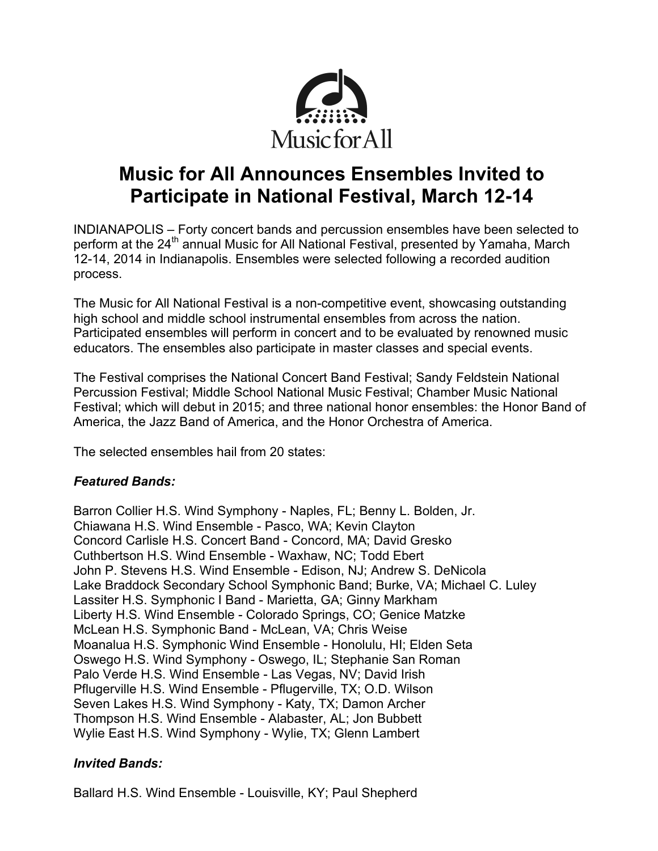

# **Music for All Announces Ensembles Invited to Participate in National Festival, March 12-14**

INDIANAPOLIS – Forty concert bands and percussion ensembles have been selected to perform at the 24<sup>th</sup> annual Music for All National Festival, presented by Yamaha, March 12-14, 2014 in Indianapolis. Ensembles were selected following a recorded audition process.

The Music for All National Festival is a non-competitive event, showcasing outstanding high school and middle school instrumental ensembles from across the nation. Participated ensembles will perform in concert and to be evaluated by renowned music educators. The ensembles also participate in master classes and special events.

The Festival comprises the National Concert Band Festival; Sandy Feldstein National Percussion Festival; Middle School National Music Festival; Chamber Music National Festival; which will debut in 2015; and three national honor ensembles: the Honor Band of America, the Jazz Band of America, and the Honor Orchestra of America.

The selected ensembles hail from 20 states:

# *Featured Bands:*

Barron Collier H.S. Wind Symphony - Naples, FL; Benny L. Bolden, Jr. Chiawana H.S. Wind Ensemble - Pasco, WA; Kevin Clayton Concord Carlisle H.S. Concert Band - Concord, MA; David Gresko Cuthbertson H.S. Wind Ensemble - Waxhaw, NC; Todd Ebert John P. Stevens H.S. Wind Ensemble - Edison, NJ; Andrew S. DeNicola Lake Braddock Secondary School Symphonic Band; Burke, VA; Michael C. Luley Lassiter H.S. Symphonic I Band - Marietta, GA; Ginny Markham Liberty H.S. Wind Ensemble - Colorado Springs, CO; Genice Matzke McLean H.S. Symphonic Band - McLean, VA; Chris Weise Moanalua H.S. Symphonic Wind Ensemble - Honolulu, HI; Elden Seta Oswego H.S. Wind Symphony - Oswego, IL; Stephanie San Roman Palo Verde H.S. Wind Ensemble - Las Vegas, NV; David Irish Pflugerville H.S. Wind Ensemble - Pflugerville, TX; O.D. Wilson Seven Lakes H.S. Wind Symphony - Katy, TX; Damon Archer Thompson H.S. Wind Ensemble - Alabaster, AL; Jon Bubbett Wylie East H.S. Wind Symphony - Wylie, TX; Glenn Lambert

## *Invited Bands:*

Ballard H.S. Wind Ensemble - Louisville, KY; Paul Shepherd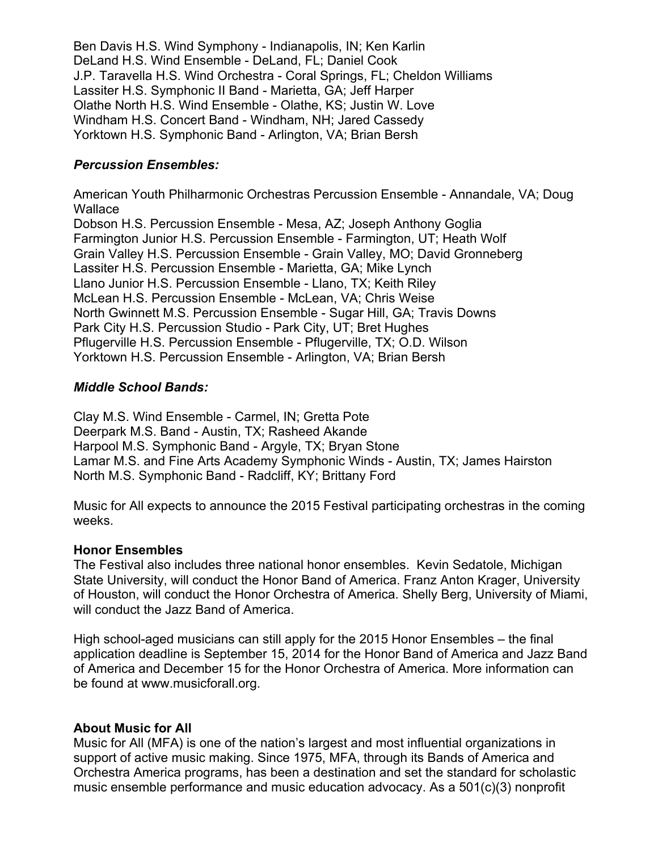Ben Davis H.S. Wind Symphony - Indianapolis, IN; Ken Karlin DeLand H.S. Wind Ensemble - DeLand, FL; Daniel Cook J.P. Taravella H.S. Wind Orchestra - Coral Springs, FL; Cheldon Williams Lassiter H.S. Symphonic II Band - Marietta, GA; Jeff Harper Olathe North H.S. Wind Ensemble - Olathe, KS; Justin W. Love Windham H.S. Concert Band - Windham, NH; Jared Cassedy Yorktown H.S. Symphonic Band - Arlington, VA; Brian Bersh

# *Percussion Ensembles:*

American Youth Philharmonic Orchestras Percussion Ensemble - Annandale, VA; Doug **Wallace** Dobson H.S. Percussion Ensemble - Mesa, AZ; Joseph Anthony Goglia Farmington Junior H.S. Percussion Ensemble - Farmington, UT; Heath Wolf Grain Valley H.S. Percussion Ensemble - Grain Valley, MO; David Gronneberg Lassiter H.S. Percussion Ensemble - Marietta, GA; Mike Lynch Llano Junior H.S. Percussion Ensemble - Llano, TX; Keith Riley McLean H.S. Percussion Ensemble - McLean, VA; Chris Weise North Gwinnett M.S. Percussion Ensemble - Sugar Hill, GA; Travis Downs Park City H.S. Percussion Studio - Park City, UT; Bret Hughes Pflugerville H.S. Percussion Ensemble - Pflugerville, TX; O.D. Wilson Yorktown H.S. Percussion Ensemble - Arlington, VA; Brian Bersh

## *Middle School Bands:*

Clay M.S. Wind Ensemble - Carmel, IN; Gretta Pote Deerpark M.S. Band - Austin, TX; Rasheed Akande Harpool M.S. Symphonic Band - Argyle, TX; Bryan Stone Lamar M.S. and Fine Arts Academy Symphonic Winds - Austin, TX; James Hairston North M.S. Symphonic Band - Radcliff, KY; Brittany Ford

Music for All expects to announce the 2015 Festival participating orchestras in the coming weeks.

## **Honor Ensembles**

The Festival also includes three national honor ensembles. Kevin Sedatole, Michigan State University, will conduct the Honor Band of America. Franz Anton Krager, University of Houston, will conduct the Honor Orchestra of America. Shelly Berg, University of Miami, will conduct the Jazz Band of America.

High school-aged musicians can still apply for the 2015 Honor Ensembles – the final application deadline is September 15, 2014 for the Honor Band of America and Jazz Band of America and December 15 for the Honor Orchestra of America. More information can be found at www.musicforall.org.

## **About Music for All**

Music for All (MFA) is one of the nation's largest and most influential organizations in support of active music making. Since 1975, MFA, through its Bands of America and Orchestra America programs, has been a destination and set the standard for scholastic music ensemble performance and music education advocacy. As a 501(c)(3) nonprofit